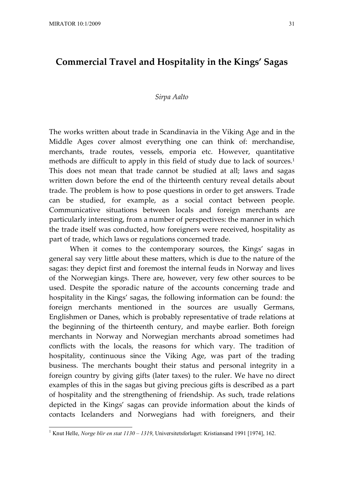# **Commercial Travel and Hospitality in the Kings' Sagas**

#### *Sirpa Aalto*

The works written about trade in Scandinavia in the Viking Age and in the Middle Ages cover almost everything one can think of: merchandise, merchants, trade routes, vessels, emporia etc. However, quantitative methods are difficult to apply in this field of study due to lack of sources.<sup>1</sup> This does not mean that trade cannot be studied at all; laws and sagas written down before the end of the thirteenth century reveal details about trade. The problem is how to pose questions in order to get answers. Trade can be studied, for example, as a social contact between people. Communicative situations between locals and foreign merchants are particularly interesting, from a number of perspectives: the manner in which the trade itself was conducted, how foreigners were received, hospitality as part of trade, which laws or regulations concerned trade.

When it comes to the contemporary sources, the Kings' sagas in general say very little about these matters, which is due to the nature of the sagas: they depict first and foremost the internal feuds in Norway and lives of the Norwegian kings. There are, however, very few other sources to be used. Despite the sporadic nature of the accounts concerning trade and hospitality in the Kings' sagas, the following information can be found: the foreign merchants mentioned in the sources are usually Germans, Englishmen or Danes, which is probably representative of trade relations at the beginning of the thirteenth century, and maybe earlier. Both foreign merchants in Norway and Norwegian merchants abroad sometimes had conflicts with the locals, the reasons for which vary. The tradition of hospitality, continuous since the Viking Age, was part of the trading business. The merchants bought their status and personal integrity in a foreign country by giving gifts (later taxes) to the ruler. We have no direct examples of this in the sagas but giving precious gifts is described as a part of hospitality and the strengthening of friendship. As such, trade relations depicted in the Kings' sagas can provide information about the kinds of contacts Icelanders and Norwegians had with foreigners, and their

<sup>&</sup>lt;sup>1</sup> Knut Helle, *Norge blir en stat 1130 – 1319*, Universitetsforlaget: Kristiansand 1991 [1974], 162.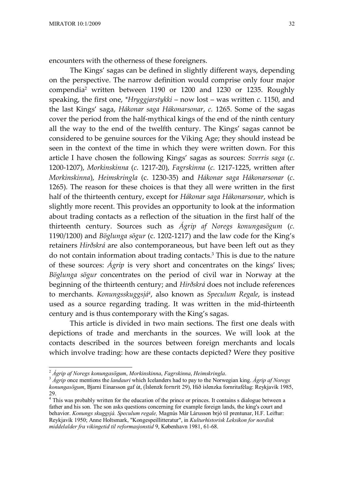encounters with the otherness of these foreigners.

The Kings' sagas can be defined in slightly different ways, depending on the perspective. The narrow definition would comprise only four major compendia<sup>2</sup> written between 1190 or 1200 and 1230 or 1235. Roughly speaking, the first one, *\*Hryggjarstykki* – now lost – was written *c.* 1150, and the last Kings' saga, *Hákonar saga Hákonarsonar*, *c.* 1265. Some of the sagas cover the period from the half-mythical kings of the end of the ninth century all the way to the end of the twelfth century. The Kings' sagas cannot be considered to be genuine sources for the Viking Age; they should instead be seen in the context of the time in which they were written down. For this article I have chosen the following Kings' sagas as sources: *Sverris saga* (*c*. 1200-1207), *Morkinskinna* (*c*. 1217-20), *Fagrskinna* (*c.* 1217-1225, written after *Morkinskinna*), *Heimskringla* (c. 1230-35) and *Hákonar saga Hákonarsonar* (*c*. 1265). The reason for these choices is that they all were written in the first half of the thirteenth century, except for *Hákonar saga Hákonarsonar*, which is slightly more recent. This provides an opportunity to look at the information about trading contacts as a reflection of the situation in the first half of the thirteenth century. Sources such as *Ágrip af Noregs konungasögum* (*c.* 1190/1200) and *Böglunga sögur* (c. 1202-1217) and the law code for the King's retainers *Hirðskrá* are also contemporaneous, but have been left out as they do not contain information about trading contacts.<sup>3</sup> This is due to the nature of these sources: *Ágrip* is very short and concentrates on the kings' lives; *Böglunga sögur* concentrates on the period of civil war in Norway at the beginning of the thirteenth century; and *Hirðskrá* does not include references to merchants. *Konungsskuggsjá<sup>4</sup>* , also known as *Speculum Regale*, is instead used as a source regarding trading. It was written in the mid-thirteenth century and is thus contemporary with the King's sagas.

This article is divided in two main sections. The first one deals with depictions of trade and merchants in the sources. We will look at the contacts described in the sources between foreign merchants and locals which involve trading: how are these contacts depicted? Were they positive

<sup>2</sup> *Ágrip af Noregs konungasögum*, *Morkinskinna*, *Fagrskinna*, *Heimskringla*.

<sup>3</sup> *Ágrip* once mentions the *landauri* which Icelanders had to pay to the Norwegian king. *Ágrip af Noregs konungasögum*, Bjarni Einarsson gaf út, (Íslenzk fornrit 29), Hið íslenzka fornritafélag: Reykjavík 1985, 29.

<sup>&</sup>lt;sup>4</sup> This was probably written for the education of the prince or princes. It contains s dialogue between a father and his son. The son asks questions concerning for example foreign lands, the king's court and behavior. *Konungs skuggsjá. Speculum regale,* Magnús Már Lárusson brjó til prentunar, H.F. Leiftur: Reykjavík 1950; Anne Holtsmark, "Kongespeillitteratur", in *Kulturhistorisk Leksikon for nordisk middelalder fra vikingetid til reformasjonstid* 9, København 1981, 61-68.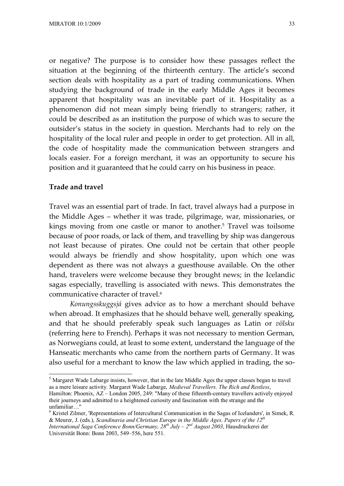or negative? The purpose is to consider how these passages reflect the situation at the beginning of the thirteenth century. The article's second section deals with hospitality as a part of trading communications. When studying the background of trade in the early Middle Ages it becomes apparent that hospitality was an inevitable part of it. Hospitality as a phenomenon did not mean simply being friendly to strangers; rather, it could be described as an institution the purpose of which was to secure the outsider's status in the society in question. Merchants had to rely on the hospitality of the local ruler and people in order to get protection. All in all, the code of hospitality made the communication between strangers and locals easier. For a foreign merchant, it was an opportunity to secure his position and it guaranteed that he could carry on his business in peace.

### **Trade and travel**

Travel was an essential part of trade. In fact, travel always had a purpose in the Middle Ages – whether it was trade, pilgrimage, war, missionaries, or kings moving from one castle or manor to another.<sup>5</sup> Travel was toilsome because of poor roads, or lack of them, and travelling by ship was dangerous not least because of pirates. One could not be certain that other people would always be friendly and show hospitality, upon which one was dependent as there was not always a guesthouse available. On the other hand, travelers were welcome because they brought news; in the Icelandic sagas especially, travelling is associated with news. This demonstrates the communicative character of travel.<sup>6</sup>

*Konungsskuggsjá* gives advice as to how a merchant should behave when abroad. It emphasizes that he should behave well, generally speaking, and that he should preferably speak such languages as Latin or *völsku* (referring here to French). Perhaps it was not necessary to mention German, as Norwegians could, at least to some extent, understand the language of the Hanseatic merchants who came from the northern parts of Germany. It was also useful for a merchant to know the law which applied in trading, the so-

<sup>&</sup>lt;sup>5</sup> Margaret Wade Labarge insists, however, that in the late Middle Ages the upper classes began to travel as a mere leisure activity. Margaret Wade Labarge, *Medieval Travellers. The Rich and Restless*,

Hamilton: Phoenix, AZ – London 2005, 249: "Many of these fifteenth-century travellers actively enjoyed their journeys and admitted to a heightened curiosity and fascination with the strange and the unfamiliar… "

<sup>&</sup>lt;sup>6</sup> Kristel Zilmer, 'Representations of Intercultural Communication in the Sagas of Icelanders', in Simek, R. & Meurer, J. (eds.), *Scandinavia and Christian Europe in the Middle Ages*. *Papers of the 12th*

*International Saga Conference Bonn/Germany, 28th July – 2nd August 2003*, Hausdruckerei der Universität Bonn: Bonn 2003, 549–556, here 551.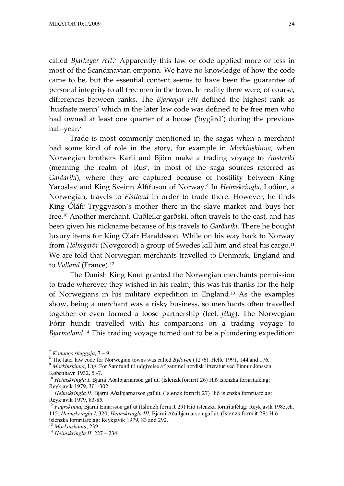called *Bjarkeyar rétt*.<sup>7</sup> Apparently this law or code applied more or less in most of the Scandinavian emporia. We have no knowledge of how the code came to be, but the essential content seems to have been the guarantee of personal integrity to all free men in the town. In reality there were, of course, differences between ranks. The *Bjarkeyar rétt* defined the highest rank as 'husfaste menn' which in the later law code was defined to be free men who had owned at least one quarter of a house ('bygård') during the previous half-year.<sup>8</sup>

Trade is most commonly mentioned in the sagas when a merchant had some kind of role in the story, for example in *Morkinskinna*, when Norwegian brothers Karli and Björn make a trading voyage to *Austrríki* (meaning the realm of 'Rus', in most of the saga sources referred as *Garðaríki*), where they are captured because of hostility between King Yaroslav and King Sveinn Álfífuson of Norway.<sup>9</sup> In *Heimskringla*, Loðinn, a Norwegian, travels to *Eistland* in order to trade there. However, he finds King Óláfr Tryggvason's mother there in the slave market and buys her free.10 Another merchant, Guðleikr garðski, often travels to the east, and has been given his nickname because of his travels to *Garðaríki*. There he bought luxury items for King Óláfr Haraldsson. While on his way back to Norway from *Hólmgarðr* (Novgorod) a group of Swedes kill him and steal his cargo.<sup>11</sup> We are told that Norwegian merchants travelled to Denmark, England and to *Valland* (France).<sup>12</sup>

The Danish King Knut granted the Norwegian merchants permission to trade wherever they wished in his realm; this was his thanks for the help of Norwegians in his military expedition in England.13 As the examples show, being a merchant was a risky business, so merchants often travelled together or even formed a loose partnership (Icel. *félag*). The Norwegian Þórir hundr travelled with his companions on a trading voyage to *Bjarmaland*. <sup>14</sup> This trading voyage turned out to be a plundering expedition:

<sup>7</sup> *Konungs skuggsjá*, 7 – 9.

<sup>8</sup> The later law code for Norwegian towns was called *Byloven* (1276). Helle 1991, 144 and 176.

<sup>9</sup> *Morkinskinna*, Utg. For Samfund til udgivelse af gammel nordisk litteratur ved Finnur Jónsson,

København 1932, 5 -7.

<sup>10</sup> *Heimskringla I*, Bjarni Aðalbjarnarson gaf út, (Íslenzk fornrit 26) Hið íslenzka fornritafélag: Reykjavík 1979, 301-302.

<sup>&</sup>lt;sup>11</sup> Heimskringla II, Bjarni Aðalbjarnarson gaf út, (Íslenzk fornrit 27) Hið íslenzka fornritafélag: Reykjavík 1979, 83-85.

<sup>12</sup> *Fagrskinna*, Bjarni Einarsson gaf út (Íslenzk fornrit 29) Hið íslenzka fornritafélag: Reykjavík 1985,ch. 115; *Heimskringla I*, 320; *Heimskringla III*, Bjarni Aðalbjarnarson gaf út, (Íslenzk fornrit 28) Hið íslenzka fornritafélag: Reykjavík 1979, 83 and 292.

<sup>13</sup> *Morkinskinna*, 239.

<sup>14</sup> *Heimskringla II*, 227 – 234.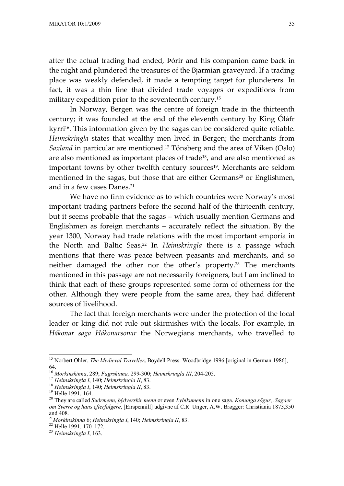after the actual trading had ended, Þórir and his companion came back in the night and plundered the treasures of the Bjarmian graveyard. If a trading place was weakly defended, it made a tempting target for plunderers. In fact, it was a thin line that divided trade voyages or expeditions from military expedition prior to the seventeenth century.<sup>15</sup>

In Norway, Bergen was the centre of foreign trade in the thirteenth century; it was founded at the end of the eleventh century by King Óláfr kyrri<sup>16</sup>. This information given by the sagas can be considered quite reliable. *Heimskringla* states that wealthy men lived in Bergen; the merchants from *Saxland* in particular are mentioned.<sup>17</sup> Tönsberg and the area of Viken (Oslo) are also mentioned as important places of trade<sup>18</sup>, and are also mentioned as important towns by other twelfth century sources<sup>19</sup>. Merchants are seldom mentioned in the sagas, but those that are either Germans<sup>20</sup> or Englishmen, and in a few cases Danes.<sup>21</sup>

We have no firm evidence as to which countries were Norway's most important trading partners before the second half of the thirteenth century, but it seems probable that the sagas – which usually mention Germans and Englishmen as foreign merchants – accurately reflect the situation. By the year 1300, Norway had trade relations with the most important emporia in the North and Baltic Seas.22 In *Heimskringla* there is a passage which mentions that there was peace between peasants and merchants, and so neither damaged the other nor the other's property.23 The merchants mentioned in this passage are not necessarily foreigners, but I am inclined to think that each of these groups represented some form of otherness for the other. Although they were people from the same area, they had different sources of livelihood.

The fact that foreign merchants were under the protection of the local leader or king did not rule out skirmishes with the locals. For example, in *Hákonar saga Hákonarsonar* the Norwegians merchants, who travelled to

<sup>22</sup> Helle 1991, 170–172.

<sup>&</sup>lt;sup>15</sup> Norbert Ohler, *The Medieval Traveller*, Boydell Press: Woodbridge 1996 [original in German 1986], 64.

<sup>16</sup> *Morkinskinna*, 289; *Fagrskinna,* 299-300; *Heimskringla III*, 204-205.

<sup>17</sup> *Heimskringla I*, 140; *Heimskringla II*, 83.

<sup>18</sup> *Heimskringla I*, 140; *Heimskringla II*, 83.

<sup>&</sup>lt;sup>19</sup> Helle 1991, 164.

<sup>20</sup> They are called *Suðrmenn*, *þýðverskir menn* or even *Lybikumenn* in one saga. *Konunga sögur*, *.Sagaer om Sverre og hans efterfølgere*, [Eirspennill] udgivne af C.R. Unger, A.W. Brøgger: Christiania 1873,350 and 408.

<sup>21</sup>*Morkinskinna* 6; *Heimskringla I*, 140; *Heimskringla II*, 83.

<sup>23</sup> *Heimskringla I*, 163.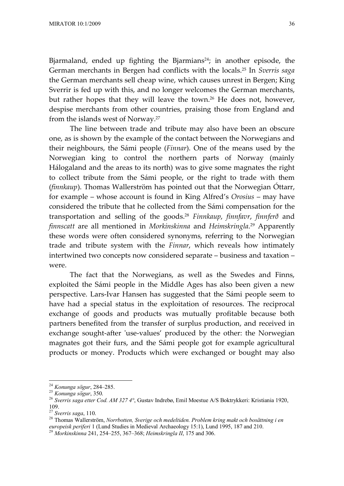Bjarmaland, ended up fighting the Bjarmians<sup>24</sup>; in another episode, the German merchants in Bergen had conflicts with the locals.25 In *Sverris saga* the German merchants sell cheap wine, which causes unrest in Bergen; King Sverrir is fed up with this, and no longer welcomes the German merchants, but rather hopes that they will leave the town.<sup>26</sup> He does not, however, despise merchants from other countries, praising those from England and from the islands west of Norway.<sup>27</sup>

The line between trade and tribute may also have been an obscure one, as is shown by the example of the contact between the Norwegians and their neighbours, the Sámi people (*Finnar*). One of the means used by the Norwegian king to control the northern parts of Norway (mainly Hálogaland and the areas to its north) was to give some magnates the right to collect tribute from the Sámi people, or the right to trade with them (*finnkaup*). Thomas Wallerström has pointed out that the Norwegian Óttarr, for example – whose account is found in King Alfred's *Orosius* – may have considered the tribute that he collected from the Sámi compensation for the transportation and selling of the goods.<sup>28</sup> *Finnkaup*, *finnfavr*, *finnferð* and *finnscatt* are all mentioned in *Morkinskinna* and *Heimskringla*. <sup>29</sup> Apparently these words were often considered synonyms, referring to the Norwegian trade and tribute system with the *Finnar*, which reveals how intimately intertwined two concepts now considered separate – business and taxation – were.

The fact that the Norwegians, as well as the Swedes and Finns, exploited the Sámi people in the Middle Ages has also been given a new perspective. Lars-Ivar Hansen has suggested that the Sámi people seem to have had a special status in the exploitation of resources. The reciprocal exchange of goods and products was mutually profitable because both partners benefited from the transfer of surplus production, and received in exchange sought-after 'use-values' produced by the other: the Norwegian magnates got their furs, and the Sámi people got for example agricultural products or money. Products which were exchanged or bought may also

<sup>24</sup> *Konunga sögur*, 284–285.

<sup>25</sup> *Konunga sögur*, 350.

<sup>26</sup> *Sverris saga etter Cod. AM 327 4°*, Gustav Indrebø, Emil Moestue A/S Boktrykkeri: Kristiania 1920, 109.

<sup>27</sup> *Sverris saga*, 110.

<sup>28</sup> Thomas Wallerström, *Norrbotten, Sverige och medeltiden. Problem kring makt och bosättning i en europeisk periferi* 1 (Lund Studies in Medieval Archaeology 15:1), Lund 1995, 187 and 210.

<sup>29</sup> *Morkinskinna* 241, 254–255, 367–368; *Heimskringla II*, 175 and 306.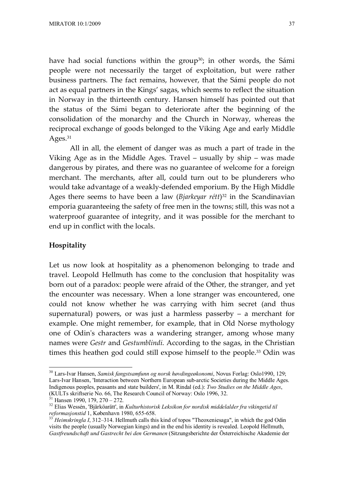have had social functions within the group<sup>30</sup>; in other words, the Sámi people were not necessarily the target of exploitation, but were rather business partners. The fact remains, however, that the Sámi people do not act as equal partners in the Kings' sagas, which seems to reflect the situation in Norway in the thirteenth century. Hansen himself has pointed out that the status of the Sámi began to deteriorate after the beginning of the consolidation of the monarchy and the Church in Norway, whereas the reciprocal exchange of goods belonged to the Viking Age and early Middle Ages.<sup>31</sup>

All in all, the element of danger was as much a part of trade in the Viking Age as in the Middle Ages. Travel – usually by ship – was made dangerous by pirates, and there was no guarantee of welcome for a foreign merchant. The merchants, after all, could turn out to be plunderers who would take advantage of a weakly-defended emporium. By the High Middle Ages there seems to have been a law (*Bjarkeyar rétt*) <sup>32</sup> in the Scandinavian emporia guaranteeing the safety of free men in the towns; still, this was not a waterproof guarantee of integrity, and it was possible for the merchant to end up in conflict with the locals.

## **Hospitality**

Let us now look at hospitality as a phenomenon belonging to trade and travel. Leopold Hellmuth has come to the conclusion that hospitality was born out of a paradox: people were afraid of the Other, the stranger, and yet the encounter was necessary. When a lone stranger was encountered, one could not know whether he was carrying with him secret (and thus supernatural) powers, or was just a harmless passerby – a merchant for example. One might remember, for example, that in Old Norse mythology one of Odin's characters was a wandering stranger, among whose many names were *Gestr* and *Gestumblindi*. According to the sagas, in the Christian times this heathen god could still expose himself to the people.33 Odin was

<sup>30</sup> Lars-Ivar Hansen, *Samisk fangstsamfunn og norsk høvdingeøkonomi*, Novus Forlag: Oslo1990, 129; Lars-Ivar Hansen, 'Interaction between Northern European sub-arctic Societies during the Middle Ages. Indigenous peoples, peasants and state builders', in M. Rindal (ed.): *Two Studies on the Middle Ages*, (KULTs skriftserie No. 66, The Research Council of Norway: Oslo 1996, 32.

 $31$  Hansen 1990, 179, 270 – 272.

<sup>32</sup> Elias Wessén, 'Bjärköarätt', in *Kulturhistorisk Leksikon for nordisk middelalder fra vikingetid til reformasjonstid* 1, København 1980, 655-658.

<sup>33</sup> *Heimskringla I*, 312–314. Hellmuth calls this kind of topos "Theoxeniesaga", in which the god Odin visits the people (usually Norwegian kings) and in the end his identity is revealed. Leopold Hellmuth, *Gastfreundschaft und Gastrecht bei den Germanen* (Sitzungsberichte der Österreichische Akademie der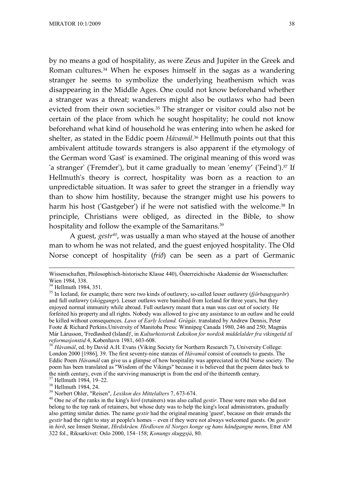by no means a god of hospitality, as were Zeus and Jupiter in the Greek and Roman cultures.<sup>34</sup> When he exposes himself in the sagas as a wandering stranger he seems to symbolize the underlying heathenism which was disappearing in the Middle Ages. One could not know beforehand whether a stranger was a threat; wanderers might also be outlaws who had been evicted from their own societies.<sup>35</sup> The stranger or visitor could also not be certain of the place from which he sought hospitality; he could not know beforehand what kind of household he was entering into when he asked for shelter, as stated in the Eddic poem *Hávamál*. <sup>36</sup> Hellmuth points out that this ambivalent attitude towards strangers is also apparent if the etymology of the German word 'Gast' is examined. The original meaning of this word was 'a stranger' ('Fremder'), but it came gradually to mean 'enemy' ('Feind'). $37$  If Hellmuth's theory is correct, hospitality was born as a reaction to an unpredictable situation. It was safer to greet the stranger in a friendly way than to show him hostility, because the stranger might use his powers to harm his host ('Gastgeber') if he were not satisfied with the welcome.<sup>38</sup> In principle, Christians were obliged, as directed in the Bible, to show hospitality and follow the example of the Samaritans.<sup>39</sup>

A guest, *gestr40*, was usually a man who stayed at the house of another man to whom he was not related, and the guest enjoyed hospitality. The Old Norse concept of hospitality (*frið*) can be seen as a part of Germanic

<sup>38</sup> Hellmuth 1984, 24.

Wissenschaften, Philosophisch-historische Klasse 440), Österreichische Akademie der Wissenschaften: Wien 1984, 338.

 $34$  Hellmuth 1984, 351.

<sup>35</sup> In Iceland, for example, there were two kinds of outlawry, so-called lesser outlawry (*fjörbaugsgarðr*) and full outlawry (*skóggangr*). Lesser outlaws were banished from Iceland for three years, but they enjoyed normal immunity while abroad. Full outlawry meant that a man was cast out of society. He forfeited his property and all rights. Nobody was allowed to give any assistance to an outlaw and he could be killed without consequences. *Laws of Early Iceland. Grágás*. translated by Andrew Dennis, Peter Foote & Richard Perkins.University of Manitoba Press: Winnipeg Canada 1980, 246 and 250; Magnús Már Lárusson, 'Fredløshed (Island)', in *Kulturhistorisk Leksikon for nordisk middelalder fra vikingetid til reformasjonstid* 4, København 1981, 603-608.

<sup>&</sup>lt;sup>36</sup> *Hávamál*, ed. by David A.H. Evans (Viking Society for Northern Research 7), University College: London 2000 [1986], 39. The first seventy-nine stanzas of *Hávamál* consist of counsels to guests. The Eddic Poem *Hávamál* can give us a glimpse of how hospitality was appreciated in Old Norse society. The poem has been translated as "Wisdom of the Vikings" because it is believed that the poem dates back to the ninth century, even if the surviving manuscript is from the end of the thirteenth century. <sup>37</sup> Hellmuth 1984, 19–22.

<sup>39</sup> Norbert Ohler, "Reisen", *Lexikon des Mittelalters* 7, 673-674.

<sup>40</sup> One ne of the ranks in the king's *hirð* (retainers) was also called *gestir*. These were men who did not belong to the top rank of retainers, but whose duty was to help the king's local administrators, gradually also getting similar duties. The name *gestir* had the original meaning 'guest', because on their errands the *gestir* had the right to stay at people's homes – even if they were not always welcomed guests. On *gestir* in *hirð*, see Imsen Steinar, *Hirdskråen. Hirdloven til Norges konge og hans håndgangne menn*, Etter AM 322 fol., Riksarkivet: Oslo 2000, 154–158; *Konungs skuggsjá*, 80.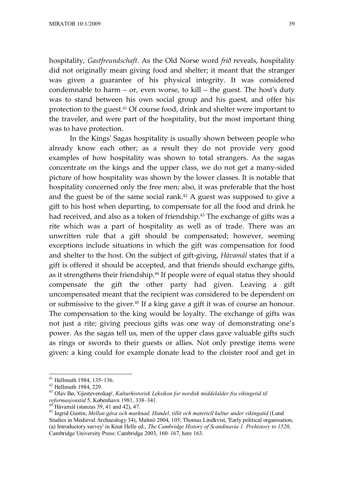hospitality, *Gastfreundschaft*. As the Old Norse word *frið* reveals, hospitality did not originally mean giving food and shelter; it meant that the stranger was given a guarantee of his physical integrity. It was considered condemnable to harm – or, even worse, to kill – the guest. The host's duty was to stand between his own social group and his guest, and offer his protection to the guest.41 Of course food, drink and shelter were important to the traveler, and were part of the hospitality, but the most important thing was to have protection.

In the Kings' Sagas hospitality is usually shown between people who already know each other; as a result they do not provide very good examples of how hospitality was shown to total strangers. As the sagas concentrate on the kings and the upper class, we do not get a many-sided picture of how hospitality was shown by the lower classes. It is notable that hospitality concerned only the free men; also, it was preferable that the host and the guest be of the same social rank. $42$  A guest was supposed to give a gift to his host when departing, to compensate for all the food and drink he had received, and also as a token of friendship.<sup>43</sup> The exchange of gifts was a rite which was a part of hospitality as well as of trade. There was an unwritten rule that a gift should be compensated; however, seeming exceptions include situations in which the gift was compensation for food and shelter to the host. On the subject of gift-giving, *Hávamál* states that if a gift is offered it should be accepted, and that friends should exchange gifts, as it strengthens their friendship.44 If people were of equal status they should compensate the gift the other party had given. Leaving a gift uncompensated meant that the recipient was considered to be dependent on or submissive to the giver.45 If a king gave a gift it was of course an honour. The compensation to the king would be loyalty. The exchange of gifts was not just a rite; giving precious gifts was one way of demonstrating one's power. As the sagas tell us, men of the upper class gave valuable gifts such as rings or swords to their guests or allies. Not only prestige items were given: a king could for example donate lead to the cloister roof and get in

<sup>41</sup> Hellmuth 1984, 135–136.

<sup>42</sup> Hellmuth 1984, 229.

<sup>43</sup> Olav Bø, 'Gjestevenskap', *Kulturhistorisk Leksikon for nordisk middelalder fra vikingetid til reformasjonstid* 5, København 1981, 338–341.

<sup>44</sup> Hávamál (stanzas 39, 41 and 42), 47.

<sup>45</sup> Ingrid Gustin, *Mellan gåva och marknad. Handel, tillit och materiell kultur under vikingatid* (Lund Studies in Medieval Archaeology 34), Malmö 2004, 105; Thomas Lindkvist, 'Early political organisation, (a) Introductory survey' in Knut Helle ed., *The Cambridge History of Scandinavia 1. Prehistory to 1520*, Cambridge University Press: Cambridge 2003, 160–167, here 163.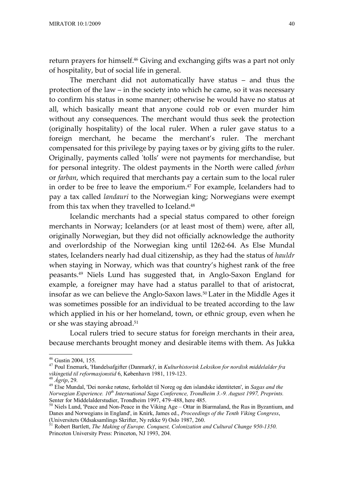return prayers for himself.<sup>46</sup> Giving and exchanging gifts was a part not only of hospitality, but of social life in general.

The merchant did not automatically have status – and thus the protection of the law – in the society into which he came, so it was necessary to confirm his status in some manner; otherwise he would have no status at all, which basically meant that anyone could rob or even murder him without any consequences. The merchant would thus seek the protection (originally hospitality) of the local ruler. When a ruler gave status to a foreign merchant, he became the merchant's ruler. The merchant compensated for this privilege by paying taxes or by giving gifts to the ruler. Originally, payments called 'tolls' were not payments for merchandise, but for personal integrity. The oldest payments in the North were called *forban* or *farban*, which required that merchants pay a certain sum to the local ruler in order to be free to leave the emporium.<sup>47</sup> For example, Icelanders had to pay a tax called *landauri* to the Norwegian king; Norwegians were exempt from this tax when they travelled to Iceland.<sup>48</sup>

Icelandic merchants had a special status compared to other foreign merchants in Norway; Icelanders (or at least most of them) were, after all, originally Norwegian, but they did not officially acknowledge the authority and overlordship of the Norwegian king until 1262-64. As Else Mundal states, Icelanders nearly had dual citizenship, as they had the status of *hauldr* when staying in Norway, which was that country's highest rank of the free peasants.49 Niels Lund has suggested that, in Anglo-Saxon England for example, a foreigner may have had a status parallel to that of aristocrat, insofar as we can believe the Anglo-Saxon laws.<sup>50</sup> Later in the Middle Ages it was sometimes possible for an individual to be treated according to the law which applied in his or her homeland, town, or ethnic group, even when he or she was staying abroad.<sup>51</sup>

Local rulers tried to secure status for foreign merchants in their area, because merchants brought money and desirable items with them. As Jukka

<sup>46</sup> Gustin 2004, 155.

<sup>47</sup> Poul Enemark, 'Handelsafgifter (Danmark)', in *Kulturhistorisk Leksikon for nordisk middelalder fra vikingetid til reformasjonstid* 6, København 1981, 119-123.

<sup>48</sup> *Ágrip*, 29.

<sup>49</sup> Else Mundal, 'Dei norske røtene, forholdet til Noreg og den islandske identiteten', in *Sagas and the Norwegian Experience. 10th International Saga Conference, Trondheim 3.-9. August 1997, Preprints.* Senter for Middelalderstudier, Trondheim 1997, 479–488, here 485.

<sup>50</sup> Niels Lund, 'Peace and Non-Peace in the Viking Age – Ottar in Biarmaland, the Rus in Byzantium, and Danes and Norwegians in England', in Knirk, James ed., *Proceedings of the Tenth Viking Congress*, (Universitets Oldsaksamlings Skrifter, Ny rekke 9) Oslo 1987, 260.

<sup>51</sup> Robert Bartlett, *The Making of Europe. Conquest, Colonization and Cultural Change 950-1350*. Princeton University Press: Princeton, NJ 1993, 204.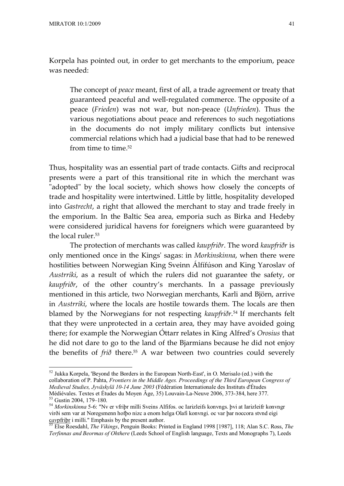Korpela has pointed out, in order to get merchants to the emporium, peace was needed:

The concept of *peace* meant, first of all, a trade agreement or treaty that guaranteed peaceful and well-regulated commerce. The opposite of a peace (*Frieden*) was not war, but non-peace (*Unfrieden*). Thus the various negotiations about peace and references to such negotiations in the documents do not imply military conflicts but intensive commercial relations which had a judicial base that had to be renewed from time to time.<sup>52</sup>

Thus, hospitality was an essential part of trade contacts. Gifts and reciprocal presents were a part of this transitional rite in which the merchant was "adopted" by the local society, which shows how closely the concepts of trade and hospitality were intertwined. Little by little, hospitality developed into *Gastrecht*, a right that allowed the merchant to stay and trade freely in the emporium. In the Baltic Sea area, emporia such as Birka and Hedeby were considered juridical havens for foreigners which were guaranteed by the local ruler.<sup>53</sup>

The protection of merchants was called *kaupfriðr*. The word *kaupfriðr* is only mentioned once in the Kings' sagas: in *Morkinskinna*, when there were hostilities between Norwegian King Sveinn Álfífúson and King Yaroslav of *Austrríki*, as a result of which the rulers did not guarantee the safety, or *kaupfriðr*, of the other country's merchants. In a passage previously mentioned in this article, two Norwegian merchants, Karli and Björn, arrive in *Austrríki*, where the locals are hostile towards them. The locals are then blamed by the Norwegians for not respecting *kaupfriðr*. <sup>54</sup> If merchants felt that they were unprotected in a certain area, they may have avoided going there; for example the Norwegian Óttarr relates in King Alfred's *Orosius* that he did not dare to go to the land of the Bjarmians because he did not enjoy the benefits of *frið* there.55 A war between two countries could severely

<sup>52</sup> Jukka Korpela, 'Beyond the Borders in the European North-East', in O. Merisalo (ed.) with the collaboration of P. Pahta, *Frontiers in the Middle Ages. Proceedings of the Third European Congress of Medieval Studies, Jyväskylä 10-14 June 2003* (Fédération Internationale des Instituts d'Études Médiévales. Textes et Études du Moyen Âge, 35) Louvain-La-Neuve 2006, 373-384, here 377.

<sup>53</sup> Gustin 2004, 179–180.

<sup>54</sup> *Morkinskinna* 5-6: "Nv er vfriþr milli Sveins Alfifos. oc Iarizleifs konvngs. þvi at Iarizleifr konvngr virði sem var at Noregsmenn hofþo nizc a enom helga Olafi konvngi. oc var þar noccora stvnd eigi c*av*pfriþr i milli." Emphasis by the present author.

<sup>55</sup> Else Roesdahl, *The Vikings*, Penguin Books: Printed in England 1998 [1987], 118; Alan S.C. Ross, *The Terfinnas and Beormas of Ohthere* (Leeds School of English language, Texts and Monographs 7), Leeds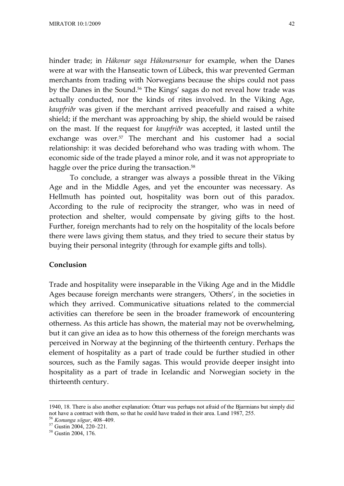hinder trade; in *Hákonar saga Hákonarsonar* for example, when the Danes were at war with the Hanseatic town of Lübeck, this war prevented German merchants from trading with Norwegians because the ships could not pass by the Danes in the Sound.<sup>56</sup> The Kings' sagas do not reveal how trade was actually conducted, nor the kinds of rites involved. In the Viking Age, *kaupfriðr* was given if the merchant arrived peacefully and raised a white shield; if the merchant was approaching by ship, the shield would be raised on the mast. If the request for *kaupfriðr* was accepted, it lasted until the exchange was over.<sup>57</sup> The merchant and his customer had a social relationship: it was decided beforehand who was trading with whom. The economic side of the trade played a minor role, and it was not appropriate to haggle over the price during the transaction.<sup>58</sup>

To conclude, a stranger was always a possible threat in the Viking Age and in the Middle Ages, and yet the encounter was necessary. As Hellmuth has pointed out, hospitality was born out of this paradox. According to the rule of reciprocity the stranger, who was in need of protection and shelter, would compensate by giving gifts to the host. Further, foreign merchants had to rely on the hospitality of the locals before there were laws giving them status, and they tried to secure their status by buying their personal integrity (through for example gifts and tolls).

### **Conclusion**

Trade and hospitality were inseparable in the Viking Age and in the Middle Ages because foreign merchants were strangers, 'Others', in the societies in which they arrived. Communicative situations related to the commercial activities can therefore be seen in the broader framework of encountering otherness. As this article has shown, the material may not be overwhelming, but it can give an idea as to how this otherness of the foreign merchants was perceived in Norway at the beginning of the thirteenth century. Perhaps the element of hospitality as a part of trade could be further studied in other sources, such as the Family sagas. This would provide deeper insight into hospitality as a part of trade in Icelandic and Norwegian society in the thirteenth century.

<sup>56</sup> *Konunga sögur*, 408–409.

<sup>1940, 18.</sup> There is also another explanation: Óttarr was perhaps not afraid of the Bjarmians but simply did not have a contract with them, so that he could have traded in their area. Lund 1987, 255.

<sup>57</sup> Gustin 2004, 220–221.

<sup>58</sup> Gustin 2004, 176.